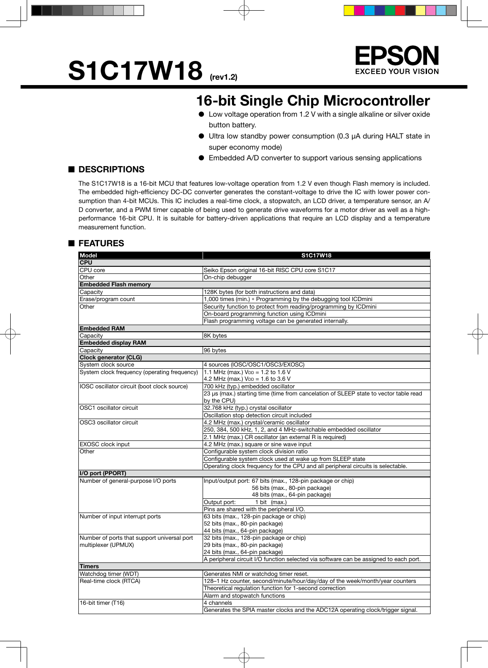# S1C17W18 (rev1.2)



### **16-bit Single Chip Microcontroller**

- Low voltage operation from 1.2 V with a single alkaline or silver oxide button battery.
- Ultra low standby power consumption (0.3 µA during HALT state in super economy mode)
- Embedded A/D converter to support various sensing applications

### ■ **DESCRIPTIONS**

The S1C17W18 is a 16-bit MCU that features low-voltage operation from 1.2 V even though Flash memory is included. The embedded high-efficiency DC-DC converter generates the constant-voltage to drive the IC with lower power consumption than 4-bit MCUs. This IC includes a real-time clock, a stopwatch, an LCD driver, a temperature sensor, an A/ D converter, and a PWM timer capable of being used to generate drive waveforms for a motor driver as well as a highperformance 16-bit CPU. It is suitable for battery-driven applications that require an LCD display and a temperature measurement function.

### ■ **FEATURES**

| <b>Model</b>                                 | S1C17W18                                                                                             |  |  |  |  |  |
|----------------------------------------------|------------------------------------------------------------------------------------------------------|--|--|--|--|--|
| <b>CPU</b>                                   |                                                                                                      |  |  |  |  |  |
| CPU core                                     | Seiko Epson original 16-bit RISC CPU core S1C17                                                      |  |  |  |  |  |
| Other                                        | On-chip debugger                                                                                     |  |  |  |  |  |
| <b>Embedded Flash memory</b>                 |                                                                                                      |  |  |  |  |  |
| Capacity                                     | 128K bytes (for both instructions and data)                                                          |  |  |  |  |  |
| Erase/program count                          | 1,000 times (min.) * Programming by the debugging tool ICDmini                                       |  |  |  |  |  |
| Other                                        | Security function to protect from reading/programming by ICDmini                                     |  |  |  |  |  |
|                                              | On-board programming function using ICDmini                                                          |  |  |  |  |  |
|                                              | Flash programming voltage can be generated internally.                                               |  |  |  |  |  |
| <b>Embedded RAM</b>                          |                                                                                                      |  |  |  |  |  |
| Capacity                                     | 8K bytes                                                                                             |  |  |  |  |  |
| <b>Embedded display RAM</b>                  |                                                                                                      |  |  |  |  |  |
| Capacity                                     | 96 bytes                                                                                             |  |  |  |  |  |
| Clock generator (CLG)                        |                                                                                                      |  |  |  |  |  |
| System clock source                          | 4 sources (IOSC/OSC1/OSC3/EXOSC)                                                                     |  |  |  |  |  |
| System clock frequency (operating frequency) | 1.1 MHz (max.) $V_{DD} = 1.2$ to 1.6 V                                                               |  |  |  |  |  |
|                                              | 4.2 MHz (max.) VDD = 1.6 to 3.6 V                                                                    |  |  |  |  |  |
| IOSC oscillator circuit (boot clock source)  | 700 kHz (typ.) embedded oscillator                                                                   |  |  |  |  |  |
|                                              | 23 µs (max.) starting time (time from cancelation of SLEEP state to vector table read<br>by the CPU) |  |  |  |  |  |
| OSC1 oscillator circuit                      | 32.768 kHz (typ.) crystal oscillator                                                                 |  |  |  |  |  |
|                                              | Oscillation stop detection circuit included                                                          |  |  |  |  |  |
| OSC3 oscillator circuit                      | 4.2 MHz (max.) crystal/ceramic oscillator                                                            |  |  |  |  |  |
|                                              | 250, 384, 500 kHz, 1, 2, and 4 MHz-switchable embedded oscillator                                    |  |  |  |  |  |
|                                              | 2.1 MHz (max.) CR oscillator (an external R is required)                                             |  |  |  |  |  |
| <b>EXOSC</b> clock input                     | 4.2 MHz (max.) square or sine wave input                                                             |  |  |  |  |  |
| Other                                        | Configurable system clock division ratio                                                             |  |  |  |  |  |
|                                              | Configurable system clock used at wake up from SLEEP state                                           |  |  |  |  |  |
|                                              | Operating clock frequency for the CPU and all peripheral circuits is selectable.                     |  |  |  |  |  |
| I/O port (PPORT)                             |                                                                                                      |  |  |  |  |  |
| Number of general-purpose I/O ports          | Input/output port: 67 bits (max., 128-pin package or chip)                                           |  |  |  |  |  |
|                                              | 56 bits (max., 80-pin package)                                                                       |  |  |  |  |  |
|                                              | 48 bits (max., 64-pin package)                                                                       |  |  |  |  |  |
|                                              | 1 bit (max.)<br>Output port:                                                                         |  |  |  |  |  |
|                                              | Pins are shared with the peripheral I/O.                                                             |  |  |  |  |  |
| Number of input interrupt ports              | 63 bits (max., 128-pin package or chip)                                                              |  |  |  |  |  |
|                                              | 52 bits (max., 80-pin package)                                                                       |  |  |  |  |  |
|                                              | 44 bits (max., 64-pin package)                                                                       |  |  |  |  |  |
| Number of ports that support universal port  | 32 bits (max., 128-pin package or chip)                                                              |  |  |  |  |  |
| multiplexer (UPMUX)                          | 29 bits (max., 80-pin package)                                                                       |  |  |  |  |  |
|                                              | 24 bits (max., 64-pin package)                                                                       |  |  |  |  |  |
|                                              | A peripheral circuit I/O function selected via software can be assigned to each port.                |  |  |  |  |  |
| <b>Timers</b>                                |                                                                                                      |  |  |  |  |  |
| Watchdog timer (WDT)                         | Generates NMI or watchdog timer reset.                                                               |  |  |  |  |  |
| Real-time clock (RTCA)                       | 128-1 Hz counter, second/minute/hour/day/day of the week/month/year counters                         |  |  |  |  |  |
|                                              | Theoretical regulation function for 1-second correction                                              |  |  |  |  |  |
|                                              | Alarm and stopwatch functions                                                                        |  |  |  |  |  |
| 16-bit timer (T16)                           | 4 channels                                                                                           |  |  |  |  |  |
|                                              | Generates the SPIA master clocks and the ADC12A operating clock/trigger signal.                      |  |  |  |  |  |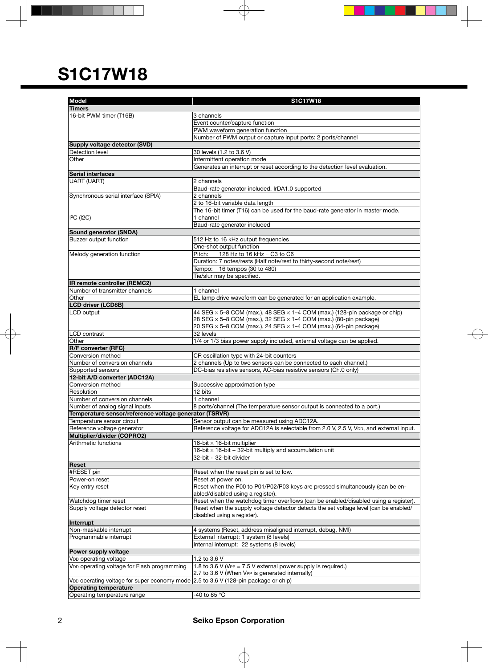| <b>Model</b>                                                                         | S1C17W18                                                                                            |
|--------------------------------------------------------------------------------------|-----------------------------------------------------------------------------------------------------|
| <b>Timers</b>                                                                        |                                                                                                     |
| 16-bit PWM timer (T16B)                                                              | 3 channels                                                                                          |
|                                                                                      | Event counter/capture function                                                                      |
|                                                                                      | PWM waveform generation function                                                                    |
|                                                                                      | Number of PWM output or capture input ports: 2 ports/channel                                        |
| Supply voltage detector (SVD)                                                        |                                                                                                     |
| Detection level                                                                      | 30 levels (1.2 to 3.6 V)                                                                            |
| Other                                                                                | Intermittent operation mode                                                                         |
|                                                                                      | Generates an interrupt or reset according to the detection level evaluation.                        |
| <b>Serial interfaces</b>                                                             |                                                                                                     |
| <b>UART (UART)</b>                                                                   | 2 channels                                                                                          |
|                                                                                      | Baud-rate generator included, IrDA1.0 supported                                                     |
| Synchronous serial interface (SPIA)                                                  | 2 channels                                                                                          |
|                                                                                      | 2 to 16-bit variable data length                                                                    |
|                                                                                      | The 16-bit timer (T16) can be used for the baud-rate generator in master mode.                      |
| <sup>2</sup> C (12C)                                                                 | 1 channel                                                                                           |
|                                                                                      | Baud-rate generator included                                                                        |
| Sound generator (SNDA)                                                               |                                                                                                     |
| <b>Buzzer output function</b>                                                        | 512 Hz to 16 kHz output frequencies                                                                 |
|                                                                                      | One-shot output function                                                                            |
| Melody generation function                                                           | Pitch:<br>128 Hz to 16 kHz ≈ C3 to C6                                                               |
|                                                                                      | Duration: 7 notes/rests (Half note/rest to thirty-second note/rest)                                 |
|                                                                                      | Tempo: 16 tempos (30 to 480)                                                                        |
|                                                                                      | Tie/slur may be specified.                                                                          |
| IR remote controller (REMC2)                                                         |                                                                                                     |
| Number of transmitter channels                                                       | 1 channel                                                                                           |
| Other                                                                                | EL lamp drive waveform can be generated for an application example.                                 |
| <b>LCD driver (LCD8B)</b>                                                            |                                                                                                     |
| LCD output                                                                           | 44 SEG $\times$ 5-8 COM (max.), 48 SEG $\times$ 1-4 COM (max.) (128-pin package or chip)            |
|                                                                                      | 28 SEG $\times$ 5-8 COM (max.), 32 SEG $\times$ 1-4 COM (max.) (80-pin package)                     |
|                                                                                      | 20 SEG $\times$ 5-8 COM (max.), 24 SEG $\times$ 1-4 COM (max.) (64-pin package)                     |
| LCD contrast                                                                         | 32 levels                                                                                           |
| Other                                                                                | 1/4 or 1/3 bias power supply included, external voltage can be applied.                             |
| <b>R/F converter (RFC)</b>                                                           |                                                                                                     |
| Conversion method                                                                    | CR oscillation type with 24-bit counters                                                            |
| Number of conversion channels                                                        | 2 channels (Up to two sensors can be connected to each channel.)                                    |
| Supported sensors                                                                    | DC-bias resistive sensors, AC-bias resistive sensors (Ch.0 only)                                    |
| 12-bit A/D converter (ADC12A)                                                        |                                                                                                     |
| Conversion method                                                                    | Successive approximation type                                                                       |
| Resolution                                                                           | 12 bits                                                                                             |
| Number of conversion channels                                                        | 1 channel                                                                                           |
| Number of analog signal inputs                                                       | 8 ports/channel (The temperature sensor output is connected to a port.)                             |
| Temperature sensor/reference voltage generator (TSRVR)<br>Temperature sensor circuit | Sensor output can be measured using ADC12A.                                                         |
|                                                                                      | Reference voltage for ADC12A is selectable from 2.0 V, 2.5 V, V <sub>DD</sub> , and external input. |
| Reference voltage generator<br>Multiplier/divider (COPRO2)                           |                                                                                                     |
| Arithmetic functions                                                                 | 16-bit $\times$ 16-bit multiplier                                                                   |
|                                                                                      | 16-bit $\times$ 16-bit + 32-bit multiply and accumulation unit                                      |
|                                                                                      | 32-bit ÷ 32-bit divider                                                                             |
| Reset                                                                                |                                                                                                     |
| #RESET pin                                                                           | Reset when the reset pin is set to low.                                                             |
| Power-on reset                                                                       | Reset at power on.                                                                                  |
| Key entry reset                                                                      | Reset when the P00 to P01/P02/P03 keys are pressed simultaneously (can be en-                       |
|                                                                                      | abled/disabled using a register).                                                                   |
| Watchdog timer reset                                                                 | Reset when the watchdog timer overflows (can be enabled/disabled using a register).                 |
| Supply voltage detector reset                                                        | Reset when the supply voltage detector detects the set voltage level (can be enabled/               |
|                                                                                      | disabled using a register).                                                                         |
| Interrupt                                                                            |                                                                                                     |
| Non-maskable interrupt                                                               | 4 systems (Reset, address misaligned interrupt, debug, NMI)                                         |
| Programmable interrupt                                                               | External interrupt: 1 system (8 levels)                                                             |
|                                                                                      | Internal interrupt: 22 systems (8 levels)                                                           |
| Power supply voltage                                                                 |                                                                                                     |
| V <sub>DD</sub> operating voltage                                                    | 1.2 to 3.6 V                                                                                        |
| VDD operating voltage for Flash programming                                          | 1.8 to 3.6 V (VPP = 7.5 V external power supply is required.)                                       |
|                                                                                      | 2.7 to 3.6 V (When VPP is generated internally)                                                     |
| VDD operating voltage for super economy mode 2.5 to 3.6 V (128-pin package or chip)  |                                                                                                     |
| <b>Operating temperature</b>                                                         |                                                                                                     |
| Operating temperature range                                                          | -40 to 85 °C                                                                                        |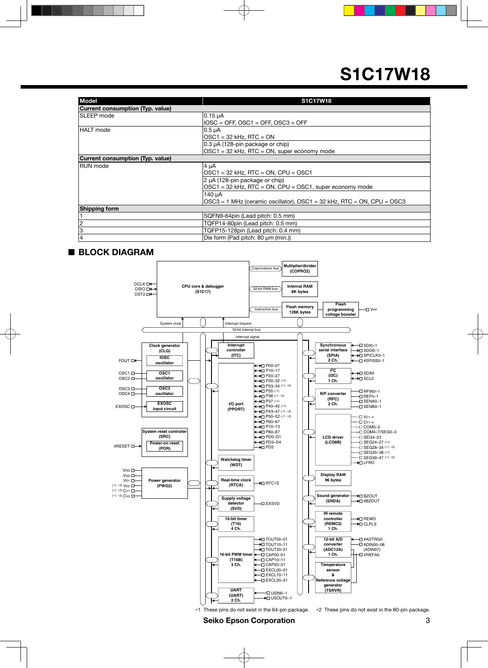| <b>Model</b>                     | <b>S1C17W18</b>                                                              |
|----------------------------------|------------------------------------------------------------------------------|
| Current consumption (Typ. value) |                                                                              |
| <b>ISLEEP</b> mode               | $0.15 \mu A$                                                                 |
|                                  | $IOSC = OFF$ , $OSC1 = OFF$ , $OSC3 = OFF$                                   |
| <b>HALT</b> mode                 | $0.5 \mu A$                                                                  |
|                                  | $OSC1 = 32$ kHz, RTC = ON                                                    |
|                                  | 0.3 µA (128-pin package or chip)                                             |
|                                  | $OSC1 = 32$ kHz, RTC = ON, super economy mode                                |
| Current consumption (Typ. value) |                                                                              |
| IRUN mode                        | 4 µA                                                                         |
|                                  | $OSC1 = 32$ kHz, RTC = ON, CPU = OSC1                                        |
|                                  | 2 µA (128-pin package or chip)                                               |
|                                  | $OSC1 = 32$ kHz, RTC = ON, CPU = OSC1, super economy mode                    |
|                                  | 140 µA                                                                       |
|                                  | $OSC3 = 1$ MHz (ceramic oscillator), $OSC1 = 32$ kHz, RTC = ON, CPU = $OSC3$ |
| <b>Shipping form</b>             |                                                                              |
|                                  | SQFN9-64pin (Lead pitch: 0.5 mm)                                             |
|                                  | TQFP14-80pin (Lead pitch: 0.5 mm)                                            |
| 3                                | TQFP15-128pin (Lead pitch: 0.4 mm)                                           |
| 14                               | Die form (Pad pitch: 80 µm (min.))                                           |

### ■ **BLOCK DIAGRAM**



\*1 These pins do not exist in the 64-pin package. \*2 These pins do not exist in the 80-pin package.

**Seiko Epson Corporation 3**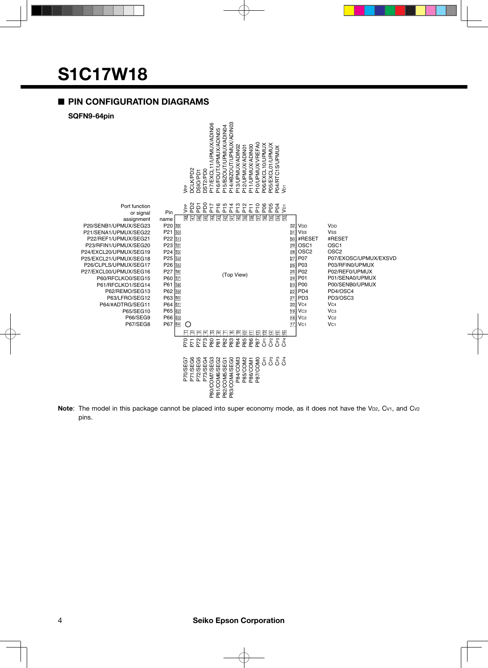### ■ **PIN CONFIGURATION DIAGRAMS**



Note: The model in this package cannot be placed into super economy mode, as it does not have the V<sub>D2</sub>, C<sub>V1</sub>, and C<sub>V2</sub> pins.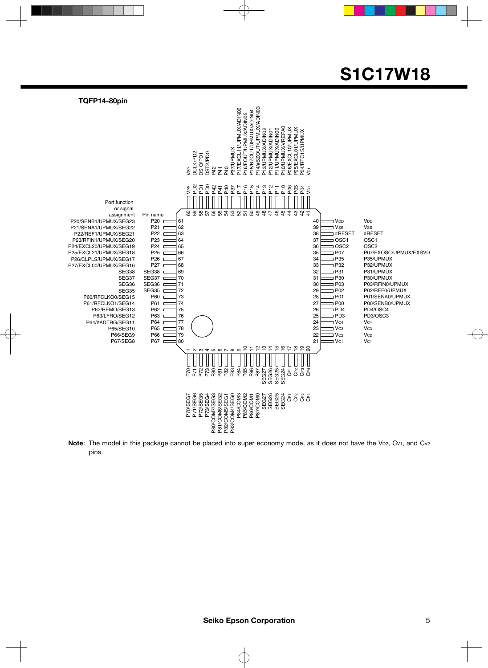

**Note**: The model in this package cannot be placed into super economy mode, as it does not have the V<sub>D2</sub>, C<sub>V1</sub>, and C<sub>V2</sub> pins.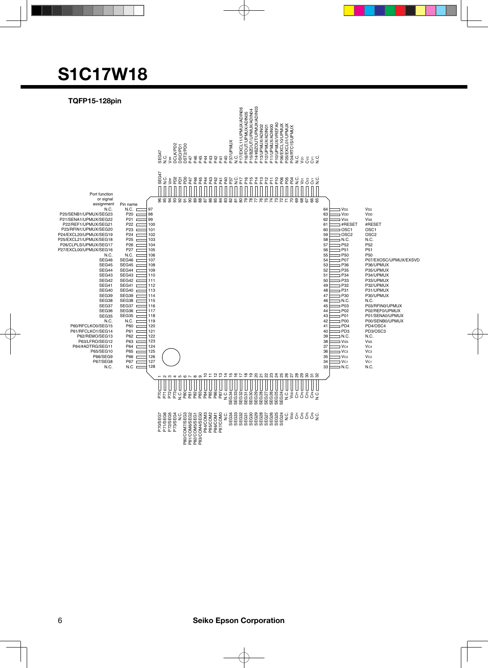

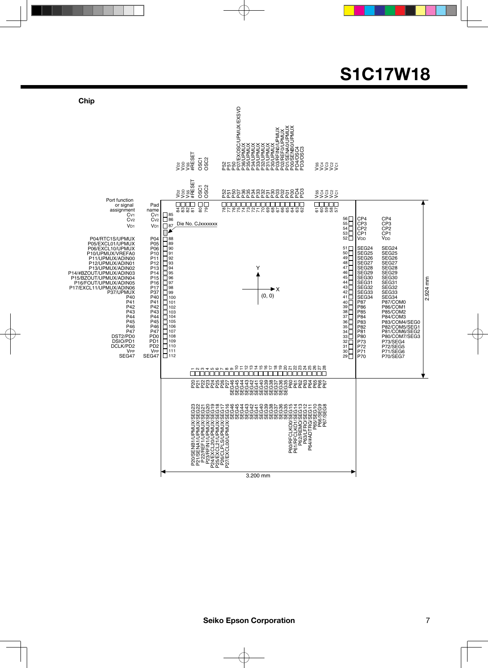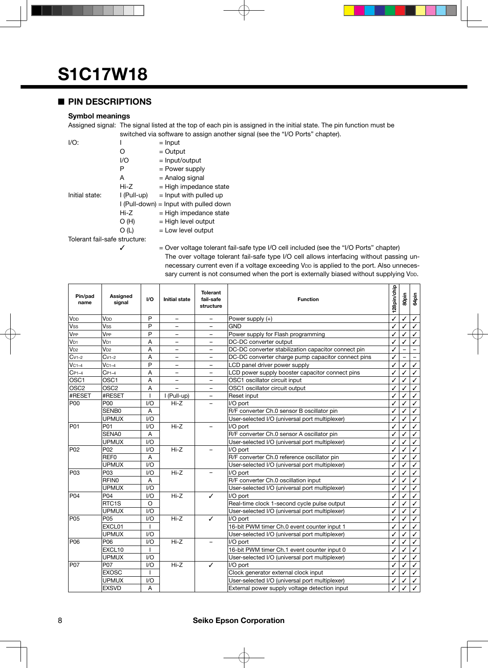### ■ **PIN DESCRIPTIONS**

### **Symbol meanings**

Assigned signal: The signal listed at the top of each pin is assigned in the initial state. The pin function must be switched via software to assign another signal (see the "I/O Ports" chapter).

| $I/O$ :                       |             | $=$ Input                                |  |  |  |  |  |
|-------------------------------|-------------|------------------------------------------|--|--|--|--|--|
|                               | O           | $=$ Output                               |  |  |  |  |  |
|                               | I/O         | $=$ Input/output                         |  |  |  |  |  |
|                               | Р           | = Power supply                           |  |  |  |  |  |
|                               | A           | = Analog signal                          |  |  |  |  |  |
|                               | Hi-Z        | $=$ High impedance state                 |  |  |  |  |  |
| Initial state:                | I (Pull-up) | $=$ Input with pulled up                 |  |  |  |  |  |
|                               |             | $I$ (Pull-down) = lnput with pulled down |  |  |  |  |  |
|                               | Hi-Z        | $=$ High impedance state                 |  |  |  |  |  |
|                               | O(H)        | $=$ High level output                    |  |  |  |  |  |
|                               | O (L)       | $=$ Low level output                     |  |  |  |  |  |
| Tolerant fail-safe structure: |             |                                          |  |  |  |  |  |

 $\checkmark$  = Over voltage tolerant fail-safe type I/O cell included (see the "I/O Ports" chapter) The over voltage tolerant fail-safe type I/O cell allows interfacing without passing unnecessary current even if a voltage exceeding VDD is applied to the port. Also unnecessary current is not consumed when the port is externally biased without supplying VDD.

| Pin/pad<br>name  | Assigned<br>signal | UQ           | <b>Initial state</b>     | <b>Tolerant</b><br>fail-safe<br><b>Function</b><br>structure |                                                     | 28pin/chip | SOpin | 64pin        |
|------------------|--------------------|--------------|--------------------------|--------------------------------------------------------------|-----------------------------------------------------|------------|-------|--------------|
| V <sub>DD</sub>  | V <sub>DD</sub>    | P            | $\overline{\phantom{0}}$ | $\overline{\phantom{0}}$                                     | Power supply $(+)$                                  | ✓          | ✓     | ✓            |
| <b>Vss</b>       | Vss                | P            | -                        | -                                                            | GND                                                 |            | ✓     | ✓            |
| V <sub>PP</sub>  | V <sub>PP</sub>    | P            | $\overline{\phantom{0}}$ |                                                              | Power supply for Flash programming                  | ✓          | ✓     | ✓            |
| V <sub>D1</sub>  | V <sub>D1</sub>    | A            | $\overline{\phantom{0}}$ | $\overline{\phantom{0}}$                                     | DC-DC converter output                              | ✓          | ✓     | ✓            |
| $V_{D2}$         | $V_{D2}$           | A            | $\overline{\phantom{0}}$ | -                                                            | DC-DC converter stabilization capacitor connect pin | ✓          |       |              |
| $Cv1-2$          | $Cv1-2$            | A            | $\qquad \qquad -$        |                                                              | DC-DC converter charge pump capacitor connect pins  | ✓          |       |              |
| $VC1-4$          | $VC1-4$            | P            |                          |                                                              | LCD panel driver power supply                       | ✓          | ✓     | $\checkmark$ |
| $C_{P1-4}$       | $C_{P1-4}$         | A            | $\overline{\phantom{0}}$ | -                                                            | LCD power supply booster capacitor connect pins     | ✓          | ✓     | ✓            |
| OSC <sub>1</sub> | OSC <sub>1</sub>   | Α            | $\overline{\phantom{0}}$ | $\overline{\phantom{0}}$                                     | OSC1 oscillator circuit input                       | ✓          | ✓     | ✓            |
| OSC <sub>2</sub> | OSC <sub>2</sub>   | A            | $\overline{\phantom{0}}$ |                                                              | OSC1 oscillator circuit output                      | ✓          |       | ✓            |
| #RESET           | #RESET             | T            | I (Pull-up)              |                                                              | Reset input                                         | ✓          | ✓     | ✓            |
| P <sub>00</sub>  | <b>P00</b>         | 1/O          | $Hi-Z$                   |                                                              | I/O port                                            | ✓          | ✓     | $\checkmark$ |
|                  | SENB0              | A            |                          |                                                              | R/F converter Ch.0 sensor B oscillator pin          | ✓          | ✓     | ✓            |
|                  | <b>UPMUX</b>       | 1/O          |                          |                                                              | User-selected I/O (universal port multiplexer)      |            |       | $\checkmark$ |
| P01              | P01                | 1/O          | $Hi-Z$                   |                                                              | I/O port                                            | ✓          | ✓     | $\checkmark$ |
|                  | SENA0              | A            |                          |                                                              | R/F converter Ch.0 sensor A oscillator pin          | ✓          | ✓     | ✓            |
|                  | <b>UPMUX</b>       | 1/O          |                          |                                                              | User-selected I/O (universal port multiplexer)      | ✓          | ✓     | ✓            |
| P <sub>02</sub>  | P02                | 1/O          | $Hi-Z$                   |                                                              | I/O port                                            | ✓          | ✓     | ✓            |
|                  | REF <sub>0</sub>   | Α            |                          |                                                              | R/F converter Ch.0 reference oscillator pin         | ✓          | ✓     | ✓            |
|                  | <b>UPMUX</b>       | 1/O          |                          |                                                              | User-selected I/O (universal port multiplexer)      | ✓          | ℐ     | ✓            |
| P <sub>03</sub>  | P03                | 1/O          | $Hi-Z$                   |                                                              | I/O port                                            | ✓          | ✓     | $\checkmark$ |
|                  | <b>RFINO</b>       | A            |                          |                                                              | R/F converter Ch.0 oscillation input                | ✓          |       | ✓            |
|                  | <b>UPMUX</b>       | 1/O          |                          |                                                              | User-selected I/O (universal port multiplexer)      | ✓          | ✓     | ✓            |
| P <sub>04</sub>  | P04                | 1/O          | $Hi-Z$                   | ✓                                                            | I/O port                                            | ✓          | ✓     | ✓            |
|                  | RTC <sub>1</sub> S | $\circ$      |                          |                                                              | Real-time clock 1-second cycle pulse output         | ✓          | ✓     | ✓            |
|                  | <b>UPMUX</b>       | 1/O          |                          |                                                              | User-selected I/O (universal port multiplexer)      | ✓          | ✓     | ✓            |
| P <sub>05</sub>  | P05                | I/O          | $Hi-Z$                   | ✓                                                            | I/O port                                            | ✓          | ✓     | ✓            |
|                  | EXCL01             |              |                          |                                                              | 16-bit PWM timer Ch.0 event counter input 1         | ✓          |       | ✓            |
|                  | <b>UPMUX</b>       | 1/O          |                          |                                                              | User-selected I/O (universal port multiplexer)      |            |       | ✓            |
| <b>P06</b>       | P06                | 1/O          | $Hi-Z$                   |                                                              | I/O port                                            | ✓          |       | ✓            |
|                  | EXCL10             | $\mathbf{I}$ |                          |                                                              | 16-bit PWM timer Ch.1 event counter input 0         | ✓          | ✓     | ✓            |
|                  | <b>UPMUX</b>       | 1/O          |                          |                                                              | User-selected I/O (universal port multiplexer)      | ✓          | ✓     | ✓            |
| <b>P07</b>       | P07                | 1/O          | $Hi-Z$                   | ✓                                                            | I/O port                                            | √          | ✓     | ✓            |
|                  | <b>EXOSC</b>       |              |                          |                                                              | Clock generator external clock input                | ✓          |       | ✓            |
|                  | <b>UPMUX</b>       | 1/O          |                          |                                                              | User-selected I/O (universal port multiplexer)      | ✓          |       | ✓            |
|                  | <b>EXSVD</b>       | A            |                          |                                                              | External power supply voltage detection input       | ✓          |       |              |

### 8 **Seiko Epson Corporation**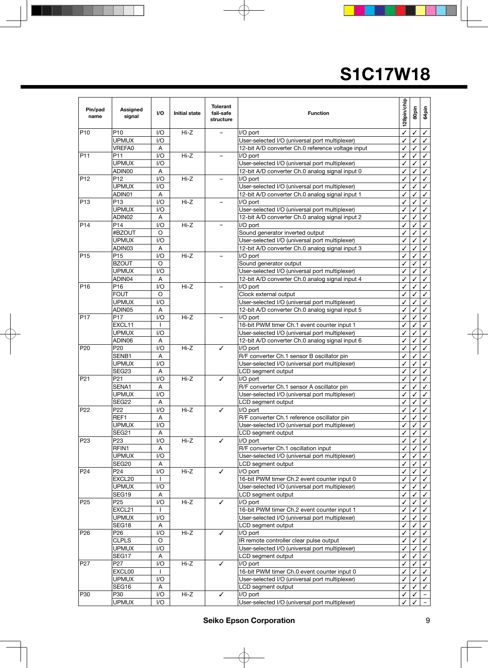| Pin/pad<br>name | Assigned<br>signal       | 1/O                     | <b>Initial state</b> | <b>Tolerant</b><br>fail-safe<br>structure | <b>Function</b>                                                                              |        | 80pin        | 64pin        |
|-----------------|--------------------------|-------------------------|----------------------|-------------------------------------------|----------------------------------------------------------------------------------------------|--------|--------------|--------------|
| P <sub>10</sub> | P10                      | I/O                     | Hi-Z                 |                                           | I/O port                                                                                     | ✓      | ✓            | ✓            |
|                 | UPMUX                    | 1/O                     |                      |                                           | User-selected I/O (universal port multiplexer)                                               | ✓      |              | ✓            |
|                 | VREFA0                   | Α                       |                      |                                           | 12-bit A/D converter Ch.0 reference voltage input                                            | ✓      | ✓            | ✓            |
| P <sub>11</sub> | P11                      | 1/O                     | Hi-Z                 |                                           | I/O port                                                                                     | ✓      | ✓            | ✓            |
|                 | <b>UPMUX</b>             | 1/O                     |                      |                                           | User-selected I/O (universal port multiplexer)                                               | ✓      | ✓            | ✓            |
|                 | ADIN00                   | Α                       |                      |                                           | 12-bit A/D converter Ch.0 analog signal input 0                                              | ✓      |              | ✓            |
| P <sub>12</sub> | P <sub>12</sub>          | I/O                     | Hi-Z                 |                                           | I/O port                                                                                     |        |              | ✓            |
|                 | <b>UPMUX</b>             | 1/O                     |                      |                                           | User-selected I/O (universal port multiplexer)                                               | ✓      |              | ✓            |
|                 | ADIN01                   | Α                       |                      |                                           | 12-bit A/D converter Ch.0 analog signal input 1                                              | ✓      |              | ✓            |
| P13             | P <sub>13</sub>          | 1/O                     | $Hi-Z$               |                                           | I/O port                                                                                     | ✓      |              | ✓            |
|                 | <b>UPMUX</b>             | 1/O                     |                      |                                           | User-selected I/O (universal port multiplexer)                                               | ✓      |              | ✓            |
|                 | ADIN02                   | Α                       |                      |                                           | 12-bit A/D converter Ch.0 analog signal input 2                                              | ✓      | ✓            | ✓            |
| P <sub>14</sub> | P14                      | 1/O                     | $Hi-Z$               |                                           | I/O port                                                                                     | ✓      | ✓            | ✓            |
|                 | #BZOUT                   | O                       |                      |                                           | Sound generator inverted output                                                              | ✓      | ✓            | ✓            |
|                 | <b>UPMUX</b>             | I/O                     |                      |                                           | User-selected I/O (universal port multiplexer)                                               |        |              | ✓            |
|                 | ADIN03                   | Α                       |                      |                                           | 12-bit A/D converter Ch.0 analog signal input 3                                              | ✓      | ✓            | ✓            |
| P <sub>15</sub> | P15                      | 1/O                     | $Hi-Z$               |                                           | I/O port                                                                                     | ✓      | ✓            | ✓            |
|                 | <b>BZOUT</b>             | O                       |                      |                                           | Sound generator output                                                                       | ✓      | ✓            | ✓            |
|                 | <b>UPMUX</b>             | 1/O                     |                      |                                           | User-selected I/O (universal port multiplexer)                                               |        |              | ✓            |
|                 | ADIN04                   | A                       |                      |                                           | 12-bit A/D converter Ch.0 analog signal input 4                                              | ✓      |              | ✓            |
| P <sub>16</sub> | P <sub>16</sub>          | 1/O                     | $Hi-Z$               |                                           | I/O port                                                                                     | ✓      | ✓            | ✓            |
|                 | <b>FOUT</b>              | O                       |                      |                                           | Clock external output                                                                        | ✓      | ✓            | ✓            |
|                 | UPMUX                    | 1/O                     |                      |                                           | User-selected I/O (universal port multiplexer)                                               |        |              | ✓            |
|                 | ADIN05                   | A                       |                      |                                           | 12-bit A/D converter Ch.0 analog signal input 5                                              | ✓      |              | ✓            |
| P <sub>17</sub> | P <sub>17</sub>          | 1/O                     | Hi-Z                 |                                           | I/O port                                                                                     | ✓      | ✓            | ✓            |
|                 | EXCL11                   | <sup>1</sup>            |                      |                                           | 16-bit PWM timer Ch.1 event counter input 1                                                  | ✓      | ✓            | ✓            |
|                 | <b>UPMUX</b>             | 1/O                     |                      |                                           | User-selected I/O (universal port multiplexer)                                               | ✓      |              | ✓            |
|                 | ADIN06                   | Α                       |                      |                                           | 12-bit A/D converter Ch.0 analog signal input 6                                              | ✓      | ✓            | ✓            |
| P20             | P20                      | 1/O                     | Hi-Z                 | ✓                                         | I/O port                                                                                     | ✓      | ✓            | ✓            |
|                 | SENB1                    | Α                       |                      |                                           | R/F converter Ch.1 sensor B oscillator pin                                                   | ✓      | ✓            | ✓            |
|                 | <b>UPMUX</b>             | 1/O                     |                      |                                           | User-selected I/O (universal port multiplexer)                                               |        |              | ✓            |
| P <sub>21</sub> | SEG23<br>P <sub>21</sub> | Α                       | Hi-Z                 |                                           | LCD segment output<br>I/O port                                                               | ✓      | ✓            | ✓            |
|                 | SENA1                    | 1/O                     |                      | ✓                                         |                                                                                              | ✓      |              | ✓            |
|                 | <b>UPMUX</b>             | Α<br>1/O                |                      |                                           | R/F converter Ch.1 sensor A oscillator pin<br>User-selected I/O (universal port multiplexer) | ✓<br>✓ | ✓            | ✓<br>✓       |
|                 | SEG22                    | Α                       |                      |                                           | LCD segment output                                                                           |        |              | ✓            |
| P <sub>22</sub> | P <sub>22</sub>          | 1/O                     | $Hi-Z$               | ✓                                         | I/O port                                                                                     | ✓      |              | ✓            |
|                 | REF1                     | Α                       |                      |                                           | R/F converter Ch.1 reference oscillator pin                                                  | ✓      | ✓            | ✓            |
|                 | <b>UPMUX</b>             | $\overline{1/O}$        |                      |                                           | User-selected I/O (universal port multiplexer)                                               |        | $\checkmark$ | $\checkmark$ |
|                 | SEG21                    | Α                       |                      |                                           | LCD segment output                                                                           | v<br>✓ | ✓            | ✓            |
| P <sub>23</sub> | P23                      | I/O                     | Hi-Z                 | ✓                                         | I/O port                                                                                     | ✓      | ✓            | ✓            |
|                 | RFIN1                    | Α                       |                      |                                           | R/F converter Ch.1 oscillation input                                                         | ✓      | ✓            | ✓            |
|                 | <b>UPMUX</b>             | I/O                     |                      |                                           | User-selected I/O (universal port multiplexer)                                               |        |              | ✓            |
|                 | SEG20                    | Α                       |                      |                                           | LCD segment output                                                                           |        |              | ✓            |
| P <sub>24</sub> | P <sub>24</sub>          | I/O                     | Hi-Z                 | ✓                                         | I/O port                                                                                     | ✓      | ℐ            | ✓            |
|                 | EXCL20                   | $\mathbf{I}$            |                      |                                           | 16-bit PWM timer Ch.2 event counter input 0                                                  | ✓      | ✓            | ✓            |
|                 | <b>UPMUX</b>             | I/O                     |                      |                                           | User-selected I/O (universal port multiplexer)                                               | ✓      | ✓            | ✓            |
|                 | SEG19                    | Α                       |                      |                                           | LCD segment output                                                                           | ✓      |              | ✓            |
| P <sub>25</sub> | P <sub>25</sub>          | I/O                     | Hi-Z                 | ✓                                         | I/O port                                                                                     | ✓      |              | ✓            |
|                 | EXCL21                   | ı                       |                      |                                           | 16-bit PWM timer Ch.2 event counter input 1                                                  | ✓      | ✓            | ✓            |
|                 | <b>UPMUX</b>             | I/O                     |                      |                                           | User-selected I/O (universal port multiplexer)                                               | ✓      | ✓            | ✓            |
|                 | SEG18                    | A                       |                      |                                           | LCD segment output                                                                           |        |              | ✓            |
| P <sub>26</sub> | P <sub>26</sub>          | I/O                     | Hi-Z                 | ✓                                         | I/O port                                                                                     |        |              | ✓            |
|                 | <b>CLPLS</b>             | O                       |                      |                                           | IR remote controller clear pulse output                                                      |        |              | ✓            |
|                 | <b>UPMUX</b>             | I/O                     |                      |                                           | User-selected I/O (universal port multiplexer)                                               |        | ✓            | ✓            |
|                 | SEG17                    | Α                       |                      |                                           | LCD segment output                                                                           |        |              | ✓            |
| P <sub>27</sub> | P27                      | 1/O                     | Hi-Z                 | ✓                                         | I/O port                                                                                     |        | ✓            | ✓            |
|                 | EXCL00                   | L                       |                      |                                           | 16-bit PWM timer Ch.0 event counter input 0                                                  | ✓      | ✓            | ✓            |
|                 | <b>UPMUX</b>             | I/O                     |                      |                                           | User-selected I/O (universal port multiplexer)                                               | ✓      | ✓            | ✓            |
|                 | SEG16                    | A                       |                      |                                           | LCD segment output                                                                           | ✓      |              | ✓            |
| P30             | P30                      | $\mathsf{I}/\mathsf{O}$ | $Hi-Z$               | ✓                                         | I/O port                                                                                     |        |              |              |
|                 | <b>UPMUX</b>             | 1/O                     |                      |                                           | User-selected I/O (universal port multiplexer)                                               |        |              |              |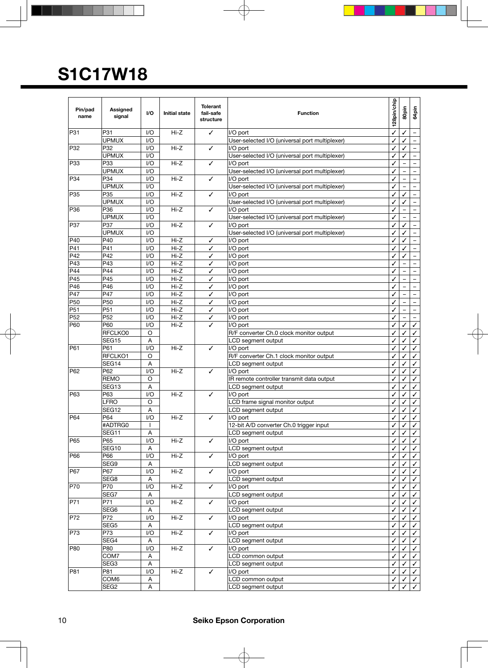| Pin/pad<br>name | Assigned<br>signal  | I/O                    | <b>Initial state</b> | <b>Tolerant</b><br>fail-safe<br>structure | <b>Function</b>                                            |   | 80pin | 64pin                    |
|-----------------|---------------------|------------------------|----------------------|-------------------------------------------|------------------------------------------------------------|---|-------|--------------------------|
| P31             | P31                 | I/O                    | $Hi-Z$               | ✓                                         | I/O port                                                   | ✓ | ✓     | $\qquad \qquad -$        |
|                 | <b>UPMUX</b>        | $\mathsf{U}\mathsf{O}$ |                      |                                           | User-selected I/O (universal port multiplexer)             | ✓ | ✓     |                          |
| P32             | P32                 | 1/O                    | $Hi-Z$               | ✓                                         | I/O port                                                   |   | ✓     |                          |
|                 | <b>UPMUX</b>        | 1/O                    |                      |                                           | User-selected I/O (universal port multiplexer)             | ✓ | ✓     | $\overline{\phantom{a}}$ |
| P33             | P33                 | 1/O                    | Hi-Z                 | ✓                                         | I/O port                                                   | ✓ |       |                          |
|                 | <b>UPMUX</b>        | 1/O                    |                      |                                           | User-selected I/O (universal port multiplexer)             | ✓ |       | $-$                      |
| P34             | P34                 | 1/O                    | $Hi-Z$               | ✓                                         | I/O port                                                   |   |       |                          |
|                 | UPMUX               | 1/O                    |                      |                                           | User-selected I/O (universal port multiplexer)             | ✓ |       | $\overline{\phantom{a}}$ |
| P <sub>35</sub> | P35                 | 1/O                    | $Hi-Z$               | ✓                                         | I/O port                                                   | ✓ | ✓     | $\qquad \qquad -$        |
|                 | <b>UPMUX</b>        | 1/O                    |                      |                                           | User-selected I/O (universal port multiplexer)             | ✓ | ✓     | $\equiv$                 |
| P36             | P36                 | 1/O<br>1/O             | $Hi-Z$               | ✓                                         | I/O port                                                   | ✓ |       |                          |
|                 | <b>UPMUX</b>        |                        |                      |                                           | User-selected I/O (universal port multiplexer)             | ✓ |       | $\overline{\phantom{a}}$ |
| P37             | P37<br><b>UPMUX</b> | 1/O<br>1/O             | $Hi-Z$               | ✓                                         | I/O port                                                   | ✓ | ✓     | $\qquad \qquad -$        |
| P40             | P40                 | 1/O                    | $Hi-Z$               | ✓                                         | User-selected I/O (universal port multiplexer)<br>I/O port | ✓ | ✓     | $\qquad \qquad -$        |
| P41             | P41                 | 1/O                    | $Hi-Z$               | ✓                                         | I/O port                                                   |   | ✓     | $\equiv$                 |
| P42             | P42                 | 1/O                    | $Hi-Z$               | ✓                                         | I/O port                                                   |   | ✓     | $\qquad \qquad -$        |
| P43             | P43                 | 1/O                    | $Hi-Z$               | ✓                                         | I/O port                                                   | ✓ |       | $\qquad \qquad -$        |
| P44             | P44                 | 1/O                    | $Hi-Z$               | ✓                                         | I/O port                                                   |   |       |                          |
| P45             | P45                 | I/O                    | $Hi-Z$               | ✓                                         | I/O port                                                   | ✓ |       | $\overline{\phantom{a}}$ |
| P46             | P46                 | 1/O                    | $Hi-Z$               | ✓                                         | I/O port                                                   | ✓ |       | $\qquad \qquad -$        |
| P47             | P47                 | 1/O                    | Hi-Z                 | ✓                                         | I/O port                                                   | ✓ |       | $\equiv$                 |
| P <sub>50</sub> | P <sub>50</sub>     | 1/O                    | Hi-Z                 | ✓                                         | I/O port                                                   | ✓ |       |                          |
| P <sub>51</sub> | P <sub>51</sub>     | I/O                    | $Hi-Z$               | ✓                                         | I/O port                                                   | ✓ |       | $\overline{\phantom{a}}$ |
| P <sub>52</sub> | P <sub>52</sub>     | 1/O                    | $Hi-Z$               | ✓                                         | I/O port                                                   | ✓ |       | $\qquad \qquad -$        |
| P60             | P60                 | I/O                    | $Hi-Z$               | ✓                                         | I/O port                                                   | ✓ | ✓     | ✓                        |
|                 | RFCLKO0             | O                      |                      |                                           | R/F converter Ch.0 clock monitor output                    | ✓ | ✓     | ✓                        |
|                 | SEG15               | Α                      |                      |                                           | LCD segment output                                         |   | ✓     | ✓                        |
| P61             | P61                 | I/O                    | $Hi-Z$               | ✓                                         | I/O port                                                   | ✓ | ✓     | ✓                        |
|                 | RFCLKO1             | O                      |                      |                                           | R/F converter Ch.1 clock monitor output                    | ✓ | ✓     | ✓                        |
|                 | SEG14               | A                      |                      |                                           | LCD segment output                                         | ✓ | ✓     | ✓                        |
| P62             | P62                 | 1/O                    | $Hi-Z$               | ✓                                         | I/O port                                                   |   |       | ✓                        |
|                 | <b>REMO</b>         | O                      |                      |                                           | IR remote controller transmit data output                  | ✓ | ✓     | ✓                        |
|                 | SEG13               | Α                      |                      |                                           | LCD segment output                                         | ✓ | ✓     | ✓                        |
| P63             | P63                 | 1/O                    | $Hi-Z$               | ✓                                         | I/O port                                                   | ✓ | ✓     | ✓                        |
|                 | LFRO                | O                      |                      |                                           | LCD frame signal monitor output                            |   |       | ✓                        |
|                 | SEG <sub>12</sub>   | Α                      |                      |                                           | LCD segment output                                         | ✓ |       | ✓                        |
| P64             | P64                 | I/O                    | $Hi-Z$               | ✓                                         | I/O port                                                   | ✓ | ✓     | ✓                        |
|                 | #ADTRG0             | L                      |                      |                                           | 12-bit A/D converter Ch.0 trigger input                    | ✓ | ✓     | $\checkmark$             |
|                 | SEG11               | A                      |                      |                                           | LCD segment output                                         | ✓ | ✓     | $\checkmark$             |
| P65             | P65                 | I/O                    | Hi-Z                 | ✓                                         | I/O port                                                   | ✓ | ✓     | ✓                        |
|                 | SEG10               | Α                      |                      |                                           | LCD segment output                                         | ✓ | ✓     | ✓                        |
| P66             | P66                 | I/O                    | Hi-Z                 | ✓                                         | I/O port                                                   | ✓ | ✓     | ✓                        |
|                 | SEG9                | Α                      |                      |                                           | LCD segment output                                         | ✓ |       | ✓                        |
| P67             | P67                 | I/O                    | Hi-Z                 | $\checkmark$                              | I/O port                                                   | ✓ | ℐ     | ✓                        |
|                 | SEG8                | A                      |                      |                                           | LCD segment output                                         | ✓ | ✓     | ✓                        |
| P70             | P70                 | 1/O                    | Hi-Z                 | ✓                                         | I/O port                                                   | ✓ | ✓     | ✓                        |
|                 | SEG7                | A                      |                      |                                           | LCD segment output                                         | ✓ |       | ✓                        |
| P71             | P71                 | 1/O                    | Hi-Z                 | $\checkmark$                              | I/O port                                                   | ✓ |       | ✓                        |
|                 | SEG6                | A                      |                      |                                           | LCD segment output                                         | ✓ | ✓     | ✓                        |
| P72             | P72                 | 1/O                    | Hi-Z                 | ✓                                         | I/O port                                                   | ✓ | ✓     | ✓                        |
|                 | SEG5                | A                      |                      |                                           | LCD segment output                                         | ✓ | ✓     | ✓                        |
| P73             | P73                 | I/O                    | Hi-Z                 | ✓                                         | I/O port                                                   | ✓ |       | ✓                        |
|                 | SEG4                | Α                      |                      |                                           | LCD segment output                                         | ✓ | ✓     | ✓                        |
| <b>P80</b>      | P80                 | I/O                    | Hi-Z                 | ✓                                         | I/O port                                                   | ✓ | ✓     | ✓                        |
|                 | COM7                | Α                      |                      |                                           | LCD common output                                          | ✓ |       | ✓                        |
|                 | SEG3                | Α                      |                      |                                           | LCD segment output                                         |   |       | ✓                        |
| P81             | P81                 | I/O                    | Hi-Z                 | ✓                                         | I/O port                                                   | ✓ | ✓     | ✓                        |
|                 | COM6                | Α                      |                      |                                           | LCD common output                                          | ✓ |       | ✓                        |
|                 | SEG <sub>2</sub>    | А                      |                      |                                           | LCD segment output                                         |   |       |                          |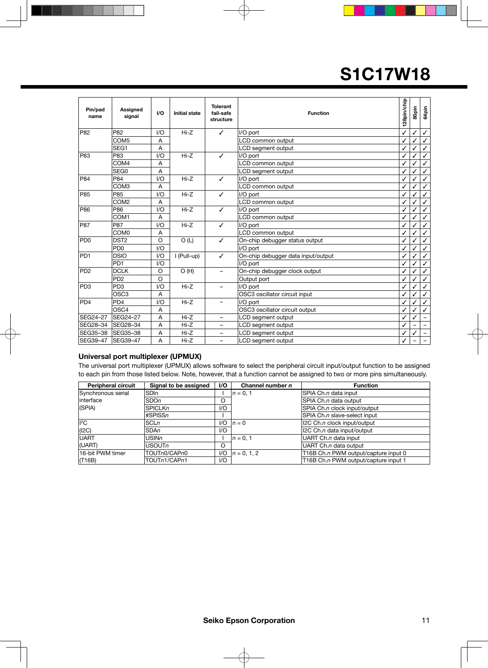| Pin/pad<br>name | Assigned<br>signal | 1/O            | <b>Initial state</b> | <b>Tolerant</b><br>fail-safe<br>structure | <b>Function</b>                    | 128pin/chip | 80pin | 64 pin       |
|-----------------|--------------------|----------------|----------------------|-------------------------------------------|------------------------------------|-------------|-------|--------------|
| P82             | P82                | 1/O            | $Hi-Z$               | ✓                                         | I/O port                           | ✓           | ✓     | $\checkmark$ |
|                 | COM <sub>5</sub>   | A              |                      |                                           | LCD common output                  | ✓           |       |              |
|                 | SEG1               | $\overline{A}$ |                      |                                           | LCD segment output                 | ✓           |       |              |
| P83             | P83                | VQ             | $Hi-Z$               | ✓                                         | I/O port                           |             |       | $\checkmark$ |
|                 | COM4               | A              |                      |                                           | LCD common output                  |             |       | ✓            |
|                 | SEG0               | $\overline{A}$ |                      |                                           | LCD segment output                 | ✓           | ✓     | ✓            |
| P84             | P84                | 1/O            | $Hi-Z$               | ✓                                         | I/O port                           |             |       |              |
|                 | COM <sub>3</sub>   | A              |                      |                                           | LCD common output                  |             | ✓     | ✓            |
| P85             | P85                | 1/O            | $Hi-Z$               | ✓                                         | I/O port                           |             | √     | ✓            |
|                 | COM <sub>2</sub>   | A              |                      |                                           | LCD common output                  |             |       | ✓            |
| P86             | P86                | 1/O            | $Hi-Z$               | ✓                                         | I/O port                           | J           |       | ✓            |
|                 | COM <sub>1</sub>   | $\overline{A}$ |                      |                                           | LCD common output                  | ✓           |       |              |
| <b>P87</b>      | P87                | 1/O            | $Hi-Z$               | ✓                                         | I/O port                           |             |       | ✓            |
|                 | COM <sub>0</sub>   | A              |                      |                                           | LCD common output                  | ✓           | ✓     | ✓            |
| PD <sub>0</sub> | DST <sub>2</sub>   | $\circ$        | O(L)                 | ✓                                         | On-chip debugger status output     |             |       |              |
|                 | P <sub>D0</sub>    | VQ             |                      |                                           | I/O port                           |             |       |              |
| PD <sub>1</sub> | <b>DSIO</b>        | VQ             | I (Pull-up)          | ✓                                         | On-chip debugger data input/output |             |       | $\checkmark$ |
|                 | P <sub>D</sub> 1   | 1/O            |                      |                                           | I/O port                           |             |       |              |
| P <sub>D2</sub> | <b>DCLK</b>        | $\circ$        | O(H)                 |                                           | On-chip debugger clock output      | J           |       | ✓            |
|                 | P <sub>D2</sub>    | $\circ$        |                      |                                           | Output port                        |             |       |              |
| PD <sub>3</sub> | PD <sub>3</sub>    | 1/O            | $Hi-Z$               | $\overline{\phantom{0}}$                  | I/O port                           |             |       |              |
|                 | OSC <sub>3</sub>   | $\overline{A}$ |                      |                                           | OSC3 oscillator circuit input      | J           |       |              |
| PD <sub>4</sub> | PD <sub>4</sub>    | 1/O            | $Hi-Z$               |                                           | I/O port                           |             |       |              |
|                 | OSC <sub>4</sub>   | A              |                      |                                           | OSC3 oscillator circuit output     |             |       |              |
| SEG24-27        | SEG24-27           | A              | $Hi-Z$               | $\overline{\phantom{0}}$                  | LCD segment output                 | ✓           |       |              |
| SEG28-34        | SEG28-34           | A              | $Hi-Z$               | $\overline{\phantom{0}}$                  | LCD segment output                 |             |       |              |
| SEG35-38        | <b>SEG35-38</b>    | Α              | Hi-Z                 | -                                         | LCD segment output                 | ✓           |       | -            |
| SEG39-47        | SEG39-47           | A              | $Hi-Z$               | $\overline{\phantom{0}}$                  | LCD segment output                 |             |       |              |

### **Universal port multiplexer (UPMUX)**

The universal port multiplexer (UPMUX) allows software to select the peripheral circuit input/output function to be assigned to each pin from those listed below. Note, however, that a function cannot be assigned to two or more pins simultaneously.

| <b>Peripheral circuit</b> | Signal to be assigned | 1/O | Channel number n | <b>Function</b>                      |
|---------------------------|-----------------------|-----|------------------|--------------------------------------|
| Synchronous serial        | <b>SDIn</b>           |     | $ n = 0, 1$      | SPIA Ch.n data input                 |
| linterface                | <b>SDOn</b>           | O   |                  | SPIA Ch.n data output                |
| (SPIA)                    | <b>SPICLKn</b>        | $U$ |                  | SPIA Ch.n clock input/output         |
|                           | #SPISSn               |     |                  | SPIA Ch.n slave-select input         |
| $I^2C$                    | <b>SCLn</b>           | 1/O | $n=0$            | 12C Ch.n clock input/output          |
| (12C)                     | <b>SDAn</b>           | 1/O |                  | 12C Ch.n data input/output           |
| <b>UART</b>               | USINn                 |     | $n = 0.1$        | UART Ch.n data input                 |
| (UART)                    | <b>USOUTn</b>         | O   |                  | UART Ch.n data output                |
| 16-bit PWM timer          | TOUTn0/CAPn0          | 1/O | $n = 0.12$       | T16B Ch.n PWM output/capture input 0 |
| (T16B)                    | TOUTn1/CAPn1          | $U$ |                  | T16B Ch.n PWM output/capture input 1 |